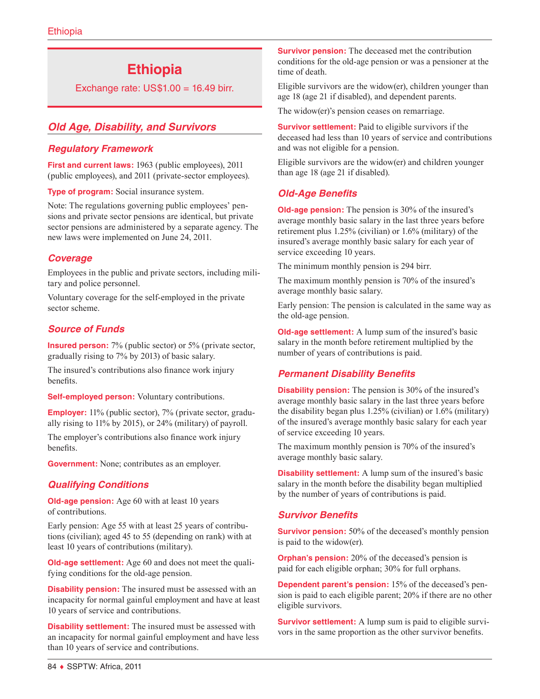# **Ethiopia**

Exchange rate:  $US$1.00 = 16.49$  birr.

# *Old Age, Disability, and Survivors*

## *Regulatory Framework*

**First and current laws:** 1963 (public employees), 2011 (public employees), and 2011 (private-sector employees).

**Type of program:** Social insurance system.

Note: The regulations governing public employees' pensions and private sector pensions are identical, but private sector pensions are administered by a separate agency. The new laws were implemented on June 24, 2011.

## *Coverage*

Employees in the public and private sectors, including military and police personnel.

Voluntary coverage for the self-employed in the private sector scheme.

## *Source of Funds*

**Insured person:** 7% (public sector) or 5% (private sector, gradually rising to 7% by 2013) of basic salary.

The insured's contributions also finance work injury benefits.

**Self-employed person:** Voluntary contributions.

**Employer:** 11% (public sector), 7% (private sector, gradually rising to 11% by 2015), or 24% (military) of payroll.

The employer's contributions also finance work injury benefits.

**Government:** None; contributes as an employer.

## *Qualifying Conditions*

**Old-age pension:** Age 60 with at least 10 years of contributions.

Early pension: Age 55 with at least 25 years of contributions (civilian); aged 45 to 55 (depending on rank) with at least 10 years of contributions (military).

**Old-age settlement:** Age 60 and does not meet the qualifying conditions for the old-age pension.

**Disability pension:** The insured must be assessed with an incapacity for normal gainful employment and have at least 10 years of service and contributions.

**Disability settlement:** The insured must be assessed with an incapacity for normal gainful employment and have less than 10 years of service and contributions.

**Survivor pension:** The deceased met the contribution conditions for the old-age pension or was a pensioner at the time of death.

Eligible survivors are the widow(er), children younger than age 18 (age 21 if disabled), and dependent parents.

The widow(er)'s pension ceases on remarriage.

**Survivor settlement:** Paid to eligible survivors if the deceased had less than 10 years of service and contributions and was not eligible for a pension.

Eligible survivors are the widow(er) and children younger than age 18 (age 21 if disabled).

# *Old-Age Benefits*

**Old-age pension:** The pension is 30% of the insured's average monthly basic salary in the last three years before retirement plus 1.25% (civilian) or 1.6% (military) of the insured's average monthly basic salary for each year of service exceeding 10 years.

The minimum monthly pension is 294 birr.

The maximum monthly pension is 70% of the insured's average monthly basic salary.

Early pension: The pension is calculated in the same way as the old-age pension.

**Old-age settlement:** A lump sum of the insured's basic salary in the month before retirement multiplied by the number of years of contributions is paid.

## *Permanent Disability Benefits*

**Disability pension:** The pension is 30% of the insured's average monthly basic salary in the last three years before the disability began plus 1.25% (civilian) or 1.6% (military) of the insured's average monthly basic salary for each year of service exceeding 10 years.

The maximum monthly pension is 70% of the insured's average monthly basic salary.

**Disability settlement:** A lump sum of the insured's basic salary in the month before the disability began multiplied by the number of years of contributions is paid.

## *Survivor Benefits*

**Survivor pension:** 50% of the deceased's monthly pension is paid to the widow(er).

**Orphan's pension:** 20% of the deceased's pension is paid for each eligible orphan; 30% for full orphans.

**Dependent parent's pension:** 15% of the deceased's pension is paid to each eligible parent; 20% if there are no other eligible survivors.

**Survivor settlement:** A lump sum is paid to eligible survivors in the same proportion as the other survivor benefits.